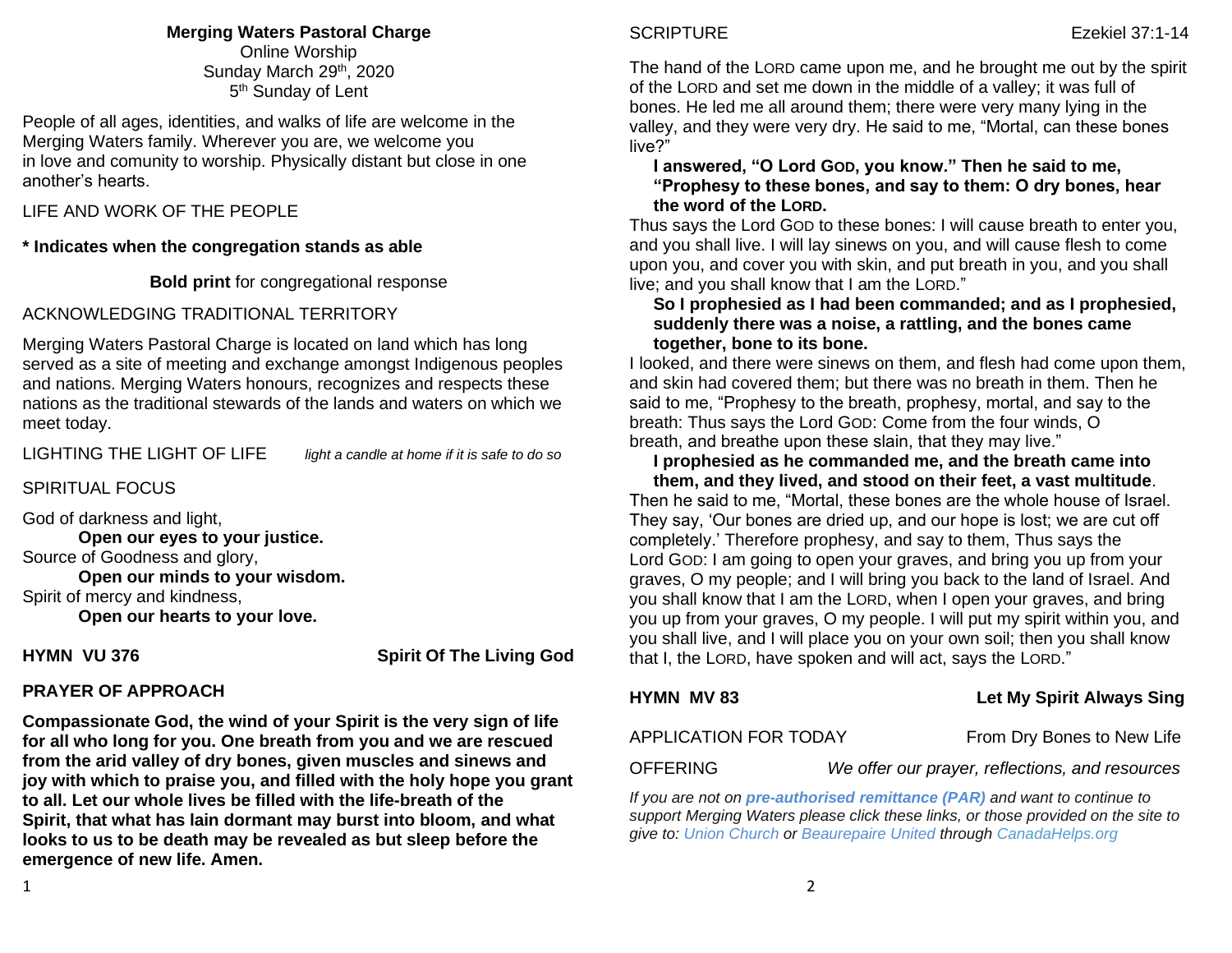### **Merging Waters Pastoral Charge**

Online Worship Sunday March 29th, 2020 5<sup>th</sup> Sunday of Lent

People of all ages, identities, and walks of life are welcome in the Merging Waters family. Wherever you are, we welcome you in love and comunity to worship. Physically distant but close in one another's hearts.

LIFE AND WORK OF THE PEOPLE

## **\* Indicates when the congregation stands as able**

**Bold print** for congregational response

## ACKNOWLEDGING TRADITIONAL TERRITORY

Merging Waters Pastoral Charge is located on land which has long served as a site of meeting and exchange amongst Indigenous peoples and nations. Merging Waters honours, recognizes and respects these nations as the traditional stewards of the lands and waters on which we meet today.

LIGHTING THE LIGHT OF LIFE *light a candle at home if it is safe to do so*

## SPIRITUAL FOCUS

God of darkness and light,

 **Open our eyes to your justice.** Source of Goodness and glory,

**Open our minds to your wisdom.**

Spirit of mercy and kindness,

**Open our hearts to your love.**

**HYMN VU 376 Spirit Of The Living God** 

## **PRAYER OF APPROACH**

**Compassionate God, the wind of your Spirit is the very sign of life for all who long for you. One breath from you and we are rescued from the arid valley of dry bones, given muscles and sinews and joy with which to praise you, and filled with the holy hope you grant to all. Let our whole lives be filled with the life-breath of the Spirit, that what has lain dormant may burst into bloom, and what looks to us to be death may be revealed as but sleep before the emergence of new life. Amen.**

live?"

The hand of the LORD came upon me, and he brought me out by the spirit of the LORD and set me down in the middle of a valley; it was full of bones. He led me all around them; there were very many lying in the valley, and they were very dry. He said to me, "Mortal, can these bones

#### **I answered, "O Lord GOD, you know." Then he said to me, "Prophesy to these bones, and say to them: O dry bones, hear the word of the LORD.**

Thus says the Lord GOD to these bones: I will cause breath to enter you, and you shall live. I will lay sinews on you, and will cause flesh to come upon you, and cover you with skin, and put breath in you, and you shall live; and you shall know that I am the LORD."

#### **So I prophesied as I had been commanded; and as I prophesied, suddenly there was a noise, a rattling, and the bones came together, bone to its bone.**

I looked, and there were sinews on them, and flesh had come upon them, and skin had covered them; but there was no breath in them. Then he said to me, "Prophesy to the breath, prophesy, mortal, and say to the breath: Thus says the Lord GOD: Come from the four winds, O breath, and breathe upon these slain, that they may live."

 **I prophesied as he commanded me, and the breath came into them, and they lived, and stood on their feet, a vast multitude**. Then he said to me, "Mortal, these bones are the whole house of Israel. They say, 'Our bones are dried up, and our hope is lost; we are cut off completely.' Therefore prophesy, and say to them, Thus says the Lord GOD: I am going to open your graves, and bring you up from your graves, O my people; and I will bring you back to the land of Israel. And you shall know that I am the LORD, when I open your graves, and bring you up from your graves, O my people. I will put my spirit within you, and you shall live, and I will place you on your own soil; then you shall know that I, the LORD, have spoken and will act, says the LORD."

## **HYMN MV 83 Let My Spirit Always Sing**

# APPLICATION FOR TODAY From Dry Bones to New Life

OFFERING *We offer our prayer, reflections, and resources*

*If you are not on pre-authorised [remittance \(PAR\)](http://mergingwaters.ca/mt-content/uploads/2020/03/form_par-authorization.pdf) and want to continue to support Merging Waters please click these links, or those provided on the site to give to: [Union Church](https://www.canadahelps.org/en/charities/union-church-ste-anne-de-bellevue/) or [Beaurepaire United](https://www.canadahelps.org/en/charities/beaurepaire-united-church/) through [CanadaHelps.org](http://www.canadahelps.org/)*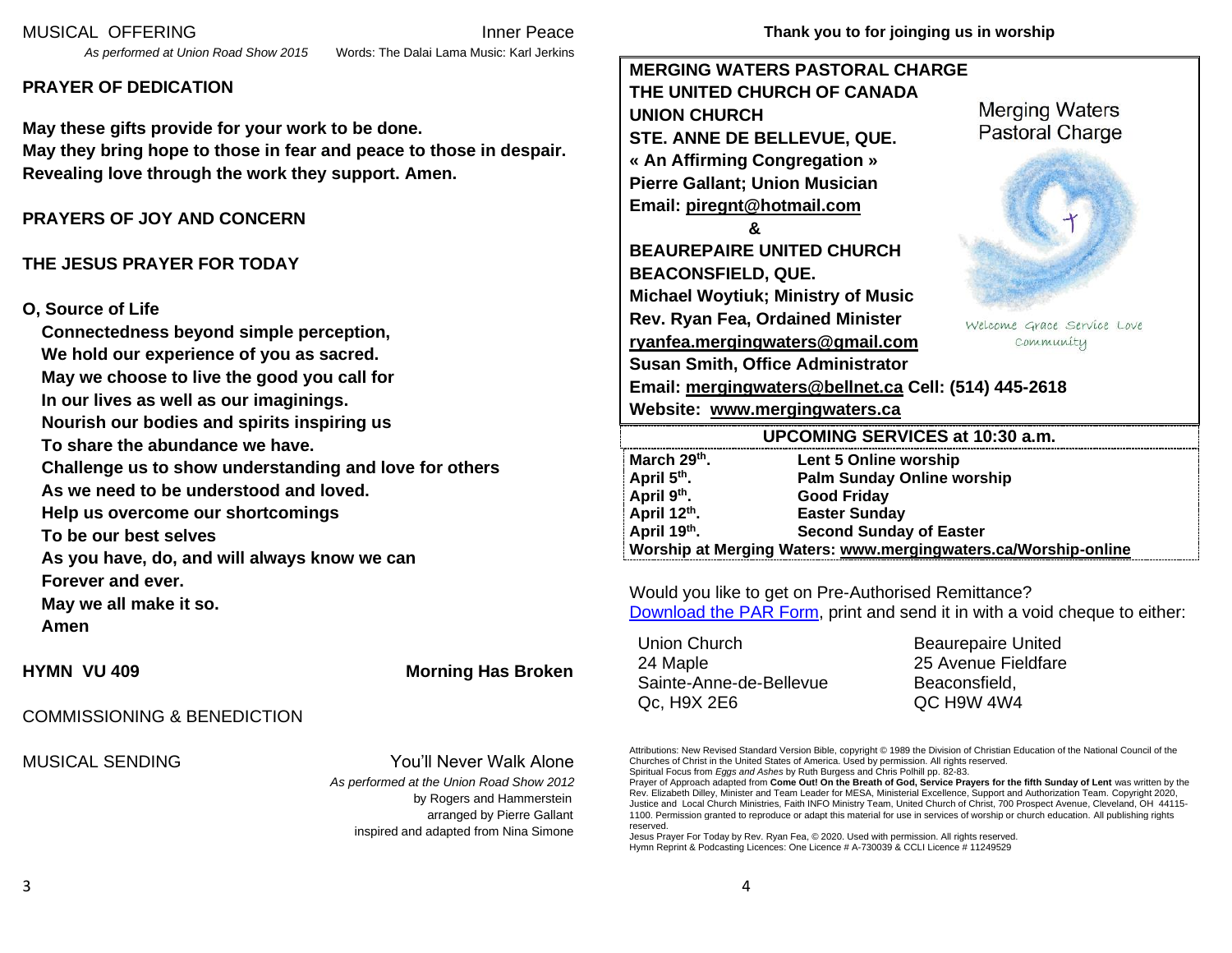| MUSICAL OFFERING                                                                                                                                                                | Inner Peace                               | Thank y                                                                                                 |  |
|---------------------------------------------------------------------------------------------------------------------------------------------------------------------------------|-------------------------------------------|---------------------------------------------------------------------------------------------------------|--|
| As performed at Union Road Show 2015<br><b>PRAYER OF DEDICATION</b>                                                                                                             | Words: The Dalai Lama Music: Karl Jerkins | <b>MERGING WATERS PAS</b><br>THE UNITED CHURCH O                                                        |  |
| May these gifts provide for your work to be done.<br>May they bring hope to those in fear and peace to those in despair.<br>Revealing love through the work they support. Amen. |                                           | <b>UNION CHURCH</b><br><b>STE. ANNE DE BELLEV</b><br>« An Affirming Congreg<br>Pierre Gallant; Union Mu |  |

# **PRAYERS OF JOY AND CONCERN**

### **THE JESUS PRAYER FOR TODAY**

#### **O, Source of Life**

**Connectedness beyond simple perception, We hold our experience of you as sacred. May we choose to live the good you call for In our lives as well as our imaginings. Nourish our bodies and spirits inspiring us To share the abundance we have. Challenge us to show understanding and love for others As we need to be understood and loved. Help us overcome our shortcomings To be our best selves As you have, do, and will always know we can Forever and ever. May we all make it so. Amen**

#### **HYMN VU 409 Morning Has Broken**

#### COMMISSIONING & BENEDICTION

#### MUSICAL SENDING You'll Never Walk Alone

# *As performed at the Union Road Show 2012*

 by Rogers and Hammerstein arranged by Pierre Gallant inspired and adapted from Nina Simone



Would you like to get on Pre-Authorised Remittance? [Download the PAR Form,](http://mergingwaters.ca/mt-content/uploads/2020/03/form_par-authorization.pdf) print and send it in with a void cheque to either:

Union Church 24 Maple Sainte-Anne-de-Bellevue Qc, H9X 2E6

Beaurepaire United 25 Avenue Fieldfare Beaconsfield, QC H9W 4W4

Attributions: New Revised Standard Version Bible, copyright © 1989 the Division of Christian Education of the National Council of the Churches of Christ in the United States of America. Used by permission. All rights reserved. Spiritual Focus from *Eggs and Ashes* by Ruth Burgess and Chris Polhill pp. 82-83.

Prayer of Approach adapted from **Come Out! On the Breath of God, Service Prayers for the fifth Sunday of Lent** was written by the Rev. Elizabeth Dilley, Minister and Team Leader for MESA, Ministerial Excellence, Support and Authorization Team. Copyright 2020, Justice and Local Church Ministries, Faith INFO Ministry Team, United Church of Christ, 700 Prospect Avenue, Cleveland, OH 44115- 1100. Permission granted to reproduce or adapt this material for use in services of worship or church education. All publishing rights reserved.

Jesus Prayer For Today by Rev. Ryan Fea, © 2020. Used with permission. All rights reserved. Hymn Reprint & Podcasting Licences: One Licence # A-730039 & CCLI Licence # 11249529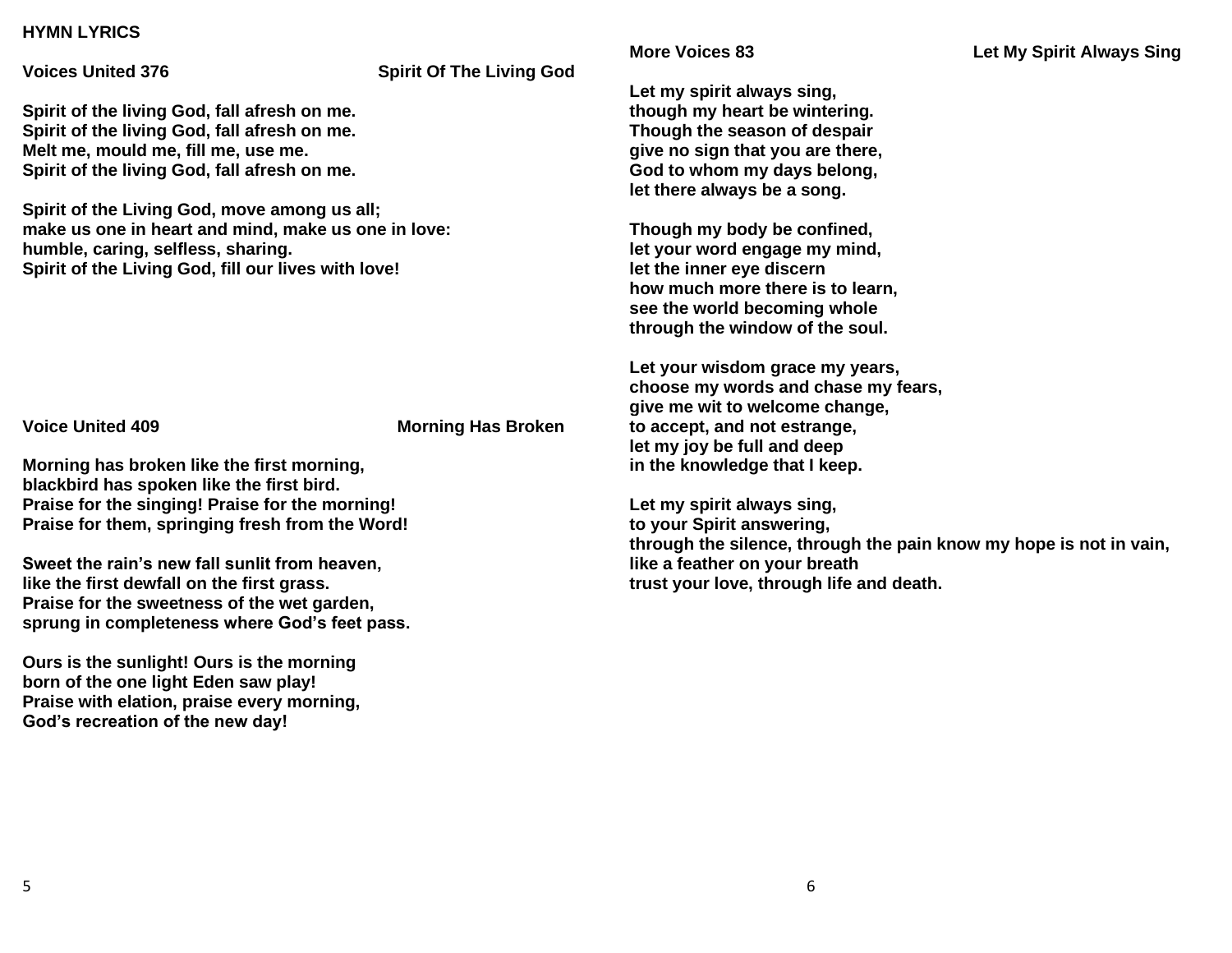#### **HYMN LYRICS**

#### **Voices United 376 Spirit Of The Living God**

**Spirit of the living God, fall afresh on me. Spirit of the living God, fall afresh on me. Melt me, mould me, fill me, use me. Spirit of the living God, fall afresh on me.**

**Spirit of the Living God, move among us all; make us one in heart and mind, make us one in love: humble, caring, selfless, sharing. Spirit of the Living God, fill our lives with love!**

#### **Voice United 409 Morning Has Broken**

**Morning has broken like the first morning, blackbird has spoken like the first bird. Praise for the singing! Praise for the morning! Praise for them, springing fresh from the Word!**

**Sweet the rain's new fall sunlit from heaven, like the first dewfall on the first grass. Praise for the sweetness of the wet garden, sprung in completeness where God's feet pass.**

**Ours is the sunlight! Ours is the morning born of the one light Eden saw play! Praise with elation, praise every morning, God's recreation of the new day!**

**Let my spirit always sing, though my heart be wintering. Though the season of despair give no sign that you are there, God to whom my days belong, let there always be a song.**

**Though my body be confined, let your word engage my mind, let the inner eye discern how much more there is to learn, see the world becoming whole through the window of the soul.**

**Let your wisdom grace my years, choose my words and chase my fears, give me wit to welcome change, to accept, and not estrange, let my joy be full and deep in the knowledge that I keep.**

**Let my spirit always sing, to your Spirit answering, through the silence, through the pain know my hope is not in vain, like a feather on your breath trust your love, through life and death.**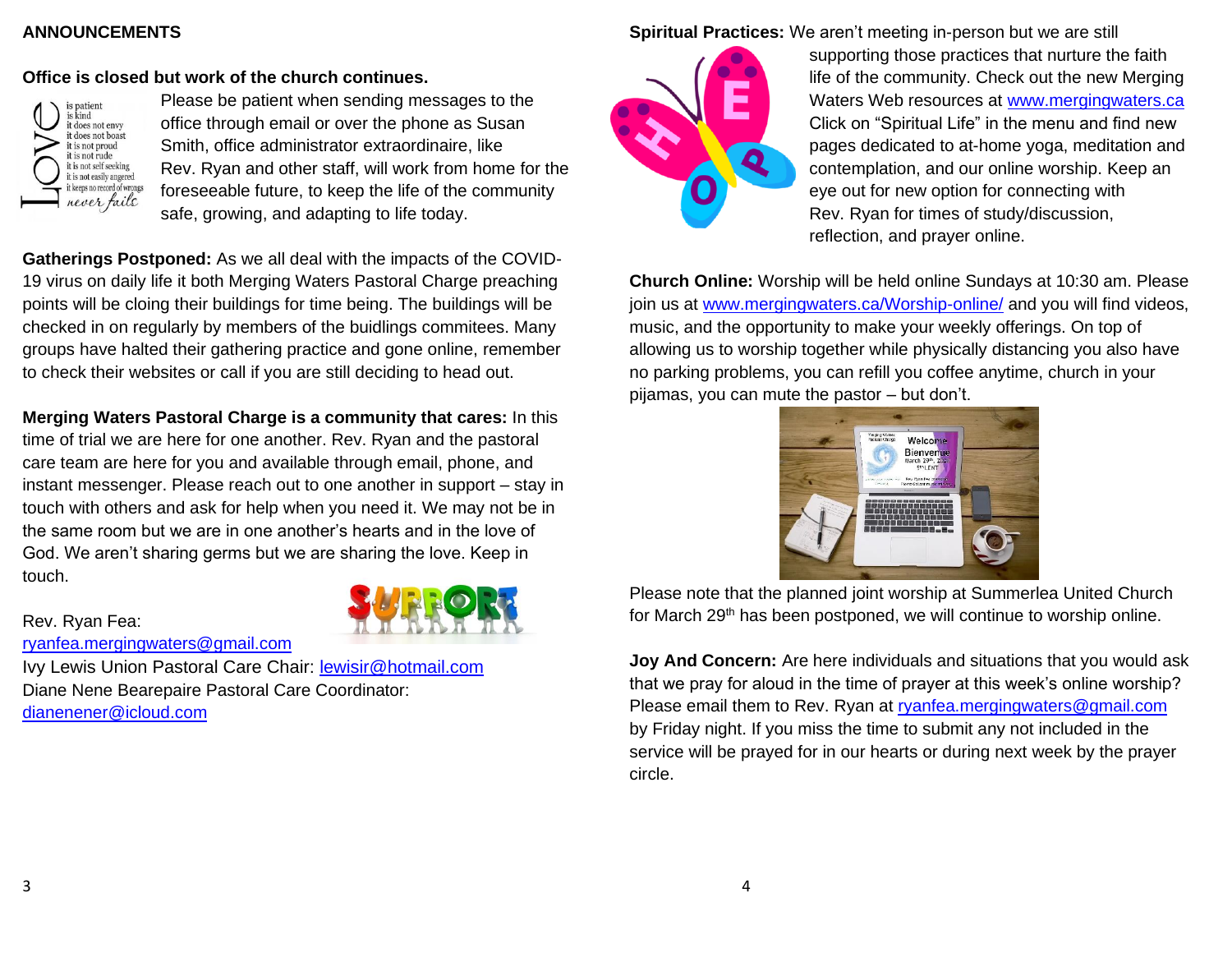### **ANNOUNCEMENTS**

## **Office is closed but work of the church continues.**



Please be patient when sending messages to the office through email or over the phone as Susan Smith, office administrator extraordinaire, like Rev. Ryan and other staff, will work from home for the foreseeable future, to keep the life of the community safe, growing, and adapting to life today.

**Gatherings Postponed:** As we all deal with the impacts of the COVID-19 virus on daily life it both Merging Waters Pastoral Charge preaching points will be cloing their buildings for time being. The buildings will be checked in on regularly by members of the buidlings commitees. Many groups have halted their gathering practice and gone online, remember to check their websites or call if you are still deciding to head out.

**Merging Waters Pastoral Charge is a community that cares:** In this time of trial we are here for one another. Rev. Ryan and the pastoral care team are here for you and available through email, phone, and instant messenger. Please reach out to one another in support – stay in touch with others and ask for help when you need it. We may not be in the same room but we are in one another's hearts and in the love of God. We aren't sharing germs but we are sharing the love. Keep in touch.

## Rev. Ryan Fea:



[ryanfea.mergingwaters@gmail.com](mailto:ryanfea.mergingwaters@gmail.com)

Ivy Lewis Union Pastoral Care Chair: [lewisir@hotmail.com](mailto:lewisir@hotmail.com) Diane Nene Bearepaire Pastoral Care Coordinator: [dianenener@icloud.com](mailto:dianenener@icloud.com)

#### **Spiritual Practices:** We aren't meeting in-person but we are still



supporting those practices that nurture the faith life of the community. Check out the new Merging Waters Web resources at [www.mergingwaters.ca](http://www.mergingwaters.ca/) Click on "Spiritual Life" in the menu and find new pages dedicated to at-home yoga, meditation and contemplation, and our online worship. Keep an eye out for new option for connecting with Rev. Ryan for times of study/discussion, reflection, and prayer online.

**Church Online:** Worship will be held online Sundays at 10:30 am. Please join us at [www.mergingwaters.ca/Worship-online/](http://www.mergingwaters.ca/Worship-online/) and you will find videos, music, and the opportunity to make your weekly offerings. On top of allowing us to worship together while physically distancing you also have no parking problems, you can refill you coffee anytime, church in your pijamas, you can mute the pastor – but don't.



Please note that the planned joint worship at Summerlea United Church for March 29<sup>th</sup> has been postponed, we will continue to worship online.

**Joy And Concern:** Are here individuals and situations that you would ask that we pray for aloud in the time of prayer at this week's online worship? Please email them to Rev. Ryan at [ryanfea.mergingwaters@gmail.com](mailto:ryanfea.mergingwaters@gmail.com) by Friday night. If you miss the time to submit any not included in the service will be prayed for in our hearts or during next week by the prayer circle.